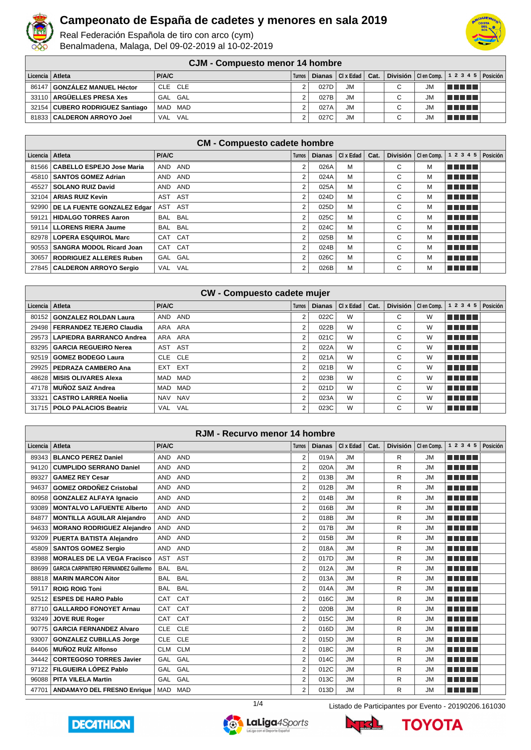

Real Federación Española de tiro con arco (cym) Benalmadena, Malaga, Del 09-02-2019 al 10-02-2019



**CJM - Compuesto menor 14 hombre**

|                   | <u>vviil vviilmuvuvu Illviivi I Illviilmiv</u> |              |        |      |                               |  |   |           |                                                    |  |  |  |  |
|-------------------|------------------------------------------------|--------------|--------|------|-------------------------------|--|---|-----------|----------------------------------------------------|--|--|--|--|
| Licencia   Atleta |                                                | <b>P/A/C</b> | Turnos |      | Dianas $ $ Cl x Edad $ $ Cat. |  |   |           | División   Clen Comp. $\vert$ 1 2 3 4 5   Posición |  |  |  |  |
|                   | 86147 GONZÁLEZ MANUEL Héctor                   | CLE CLE      |        | 027D | <b>JM</b>                     |  | C | JM.       | <u>in minimi</u>                                   |  |  |  |  |
|                   | 33110 ARGÜELLES PRESA Xes                      | GAL GAL      |        | 027B | <b>JM</b>                     |  | C | <b>JM</b> | <u>in minimi</u>                                   |  |  |  |  |
|                   | 32154   CUBERO RODRIGUEZ Santiago              | MAD MAD      |        | 027A | <b>JM</b>                     |  | C | <b>JM</b> | <u>in minimi</u>                                   |  |  |  |  |
|                   | 81833   CALDERON ARROYO Joel                   | VAL VAL      |        | 027C | <b>JM</b>                     |  | С | <b>JM</b> | l Timo Timo                                        |  |  |  |  |

| <b>CM - Compuesto cadete hombre</b> |                                     |            |               |               |             |      |   |                       |                                |  |  |  |
|-------------------------------------|-------------------------------------|------------|---------------|---------------|-------------|------|---|-----------------------|--------------------------------|--|--|--|
| Licencia   Atleta                   |                                     | P/A/C      | <b>Turnos</b> | <b>Dianas</b> | Cl X E da d | Cat. |   | División   Clen Comp. | $1 \t2 \t3 \t4 \t5   Position$ |  |  |  |
| 81566                               | CABELLO ESPEJO Jose Maria           | AND AND    | 2             | 026A          | м           |      | C | М                     | <b>REAL BE</b>                 |  |  |  |
|                                     | 45810   SANTOS GOMEZ Adrian         | AND AND    | 2             | 024A          | M           |      | C | М                     | <b>THEFT</b>                   |  |  |  |
| 45527                               | SOLANO RUIZ David                   | AND AND    | 2             | 025A          | M           |      | C | М                     | <b>REAL BE</b>                 |  |  |  |
| 32104                               | <b>ARIAS RUIZ Kevin</b>             | AST AST    | 2             | 024D          | M           |      | С | М                     | n din bir                      |  |  |  |
|                                     | 92990   DE LA FUENTE GONZALEZ Edgar | AST<br>AST | 2             | 025D          | M           |      | C | М                     | n din bir                      |  |  |  |
| 59121                               | <b>HIDALGO TORRES Aaron</b>         | BAL BAL    | 2             | 025C          | M           |      | C | М                     | <b>REAL BE</b>                 |  |  |  |
| 59114                               | LLORENS RIERA Jaume                 | BAL BAL    | 2             | 024C          | M           |      | C | М                     | n din bir                      |  |  |  |
| 82978                               | LOPERA ESQUIROL Marc                | CAT CAT    | 2             | 025B          | M           |      | C | М                     | n na mata                      |  |  |  |
| 90553                               | SANGRA MODOL Ricard Joan            | CAT CAT    | 2             | 024B          | M           |      | C | М                     | n ni mn                        |  |  |  |
| 30657                               | RODRIGUEZ ALLERES Ruben             | GAL GAL    | 2             | 026C          | M           |      | C | М                     | <b>THE LIBRARY</b>             |  |  |  |
|                                     | 27845   CALDERON ARROYO Sergio      | VAL VAL    | 2             | 026B          | M           |      | С | М                     | 'n mension                     |  |  |  |

|                   | <b>CW - Compuesto cadete mujer</b> |                          |                |               |           |      |   |                       |            |          |  |  |  |
|-------------------|------------------------------------|--------------------------|----------------|---------------|-----------|------|---|-----------------------|------------|----------|--|--|--|
| Licencia   Atleta |                                    | P/A/C                    | <b>Turnos</b>  | <b>Dianas</b> | CI x Edad | Cat. |   | División   Clen Comp. | 1 2 3 4 5  | Posición |  |  |  |
|                   | 80152 GONZALEZ ROLDAN Laura        | AND<br>AND               | 2              | 022C          | W         |      | С | W                     | n din Film |          |  |  |  |
|                   | 29498   FERRANDEZ TEJERO Claudia   | ARA ARA                  | 2              | 022B          | W         |      | C | W                     | TITI TITI  |          |  |  |  |
|                   | 29573 LAPIEDRA BARRANCO Andrea     | ARA ARA                  | 2              | 021C          | W         |      | С | W                     | T FIFT T   |          |  |  |  |
|                   | 83295   GARCIA REGUEIRO Nerea      | AST<br>AST               | $\overline{2}$ | 022A          | W         |      | С | W                     | a da birni |          |  |  |  |
|                   | 92519 GOMEZ BODEGO Laura           | CLE CLE                  | 2              | 021A          | W         |      | C | W                     | T FITTER   |          |  |  |  |
|                   | 29925   PEDRAZA CAMBERO Ana        | <b>EXT</b><br>EXT        | 2              | 021B          | W         |      | C | W                     | T FITTER   |          |  |  |  |
|                   | 48628   MISIS OLIVARES Alexa       | MAD<br>MAD               | 2              | 023B          | W         |      | C | W                     | T FITTER   |          |  |  |  |
| 47178             | MUÑOZ SAIZ Andrea                  | MAD<br>MAD               | 2              | 021D          | W         |      | С | W                     | n na mar   |          |  |  |  |
| 33321             | CASTRO LARREA Noelia               | <b>NAV</b><br>NAV        | 2              | 023A          | W         |      | С | W                     | T FIFITI   |          |  |  |  |
|                   | 31715   POLO PALACIOS Beatriz      | <b>VAL</b><br><b>VAL</b> | 2              | 023C          | W         |      | C | W                     | TE ELE     |          |  |  |  |

|          | RJM - Recurvo menor 14 hombre                |                          |            |                |               |           |      |                 |             |                            |  |          |
|----------|----------------------------------------------|--------------------------|------------|----------------|---------------|-----------|------|-----------------|-------------|----------------------------|--|----------|
| Licencia | Atleta                                       | P/A/C                    |            | <b>Turnos</b>  | <b>Dianas</b> | CI x Edad | Cat. | <b>División</b> | CI en Comp. | 1 2 3 4 5                  |  | Posición |
| 89343    | <b>BLANCO PEREZ Daniel</b>                   | <b>AND</b><br><b>AND</b> |            | $\overline{2}$ | 019A          | <b>JM</b> |      | R               | <b>JM</b>   | a na mats                  |  |          |
| 94120    | <b>CUMPLIDO SERRANO Daniel</b>               | <b>AND</b><br><b>AND</b> |            | $\overline{2}$ | 020A          | <b>JM</b> |      | R               | <b>JM</b>   | <u> El Bratalho III e </u> |  |          |
| 89327    | <b>GAMEZ REY Cesar</b>                       | <b>AND</b><br><b>AND</b> |            | 2              | 013B          | <b>JM</b> |      | R               | <b>JM</b>   | ma mata                    |  |          |
| 94637    | <b>GOMEZ ORDOÑEZ Cristobal</b>               | <b>AND</b><br><b>AND</b> |            | $\overline{2}$ | 012B          | <b>JM</b> |      | R               | <b>JM</b>   | n din bir                  |  |          |
| 80958    | <b>GONZALEZ ALFAYA Ignacio</b>               | <b>AND</b><br><b>AND</b> |            | $\overline{2}$ | 014B          | <b>JM</b> |      | R               | <b>JM</b>   | <b>THE REAL</b>            |  |          |
| 93089    | <b>MONTALVO LAFUENTE Alberto</b>             | <b>AND</b><br><b>AND</b> |            | $\overline{2}$ | 016B          | <b>JM</b> |      | R               | <b>JM</b>   | n din Film                 |  |          |
| 84877    | <b>MONTILLA AGUILAR Alejandro</b>            | <b>AND</b><br><b>AND</b> |            | $\overline{2}$ | 018B          | <b>JM</b> |      | R               | <b>JM</b>   | a shekara                  |  |          |
| 94633    | <b>MORANO RODRIGUEZ Alejandro</b>            | <b>AND</b><br><b>AND</b> |            | $\overline{2}$ | 017B          | <b>JM</b> |      | R               | <b>JM</b>   | ma mata                    |  |          |
| 93209    | <b>PUERTA BATISTA Alejandro</b>              | <b>AND</b><br><b>AND</b> |            | $\overline{2}$ | 015B          | <b>JM</b> |      | R               | <b>JM</b>   | ma mata                    |  |          |
| 45809    | <b>SANTOS GOMEZ Sergio</b>                   | <b>AND</b><br><b>AND</b> |            | $\overline{2}$ | 018A          | <b>JM</b> |      | R               | <b>JM</b>   | ma mata                    |  |          |
| 83988    | <b>MORALES DE LA VEGA Fracisco</b>           | AST<br><b>AST</b>        |            | $\overline{2}$ | 017D          | <b>JM</b> |      | R               | <b>JM</b>   | ma mata                    |  |          |
| 88699    | <b>GARCIA CARPINTERO FERNANDEZ Guillermo</b> | <b>BAL</b><br><b>BAL</b> |            | $\overline{2}$ | 012A          | <b>JM</b> |      | R               | <b>JM</b>   | n na mats                  |  |          |
| 88818    | <b>MARIN MARCON Aitor</b>                    | <b>BAL</b><br><b>BAL</b> |            | $\overline{2}$ | 013A          | <b>JM</b> |      | R               | <b>JM</b>   | ma mata                    |  |          |
| 59117    | <b>ROIG ROIG Toni</b>                        | <b>BAL</b><br><b>BAL</b> |            | $\overline{2}$ | 014A          | <b>JM</b> |      | R               | <b>JM</b>   | TI TITLE                   |  |          |
| 92512    | <b>ESPES DE HARO Pablo</b>                   | CAT<br>CAT               |            | $\overline{2}$ | 016C          | <b>JM</b> |      | R               | <b>JM</b>   | <u> El Bratalho III e </u> |  |          |
| 87710    | <b>GALLARDO FONOYET Arnau</b>                | CAT<br>CAT               |            | $\overline{2}$ | 020B          | <b>JM</b> |      | R               | <b>JM</b>   | ma mata                    |  |          |
| 93249    | <b>JOVE RUE Roger</b>                        | CAT<br>CAT               |            | $\overline{2}$ | 015C          | <b>JM</b> |      | R               | <b>JM</b>   | a shekara                  |  |          |
| 90775    | <b>GARCIA FERNANDEZ Alvaro</b>               | <b>CLE</b><br><b>CLE</b> |            | $\overline{2}$ | 016D          | <b>JM</b> |      | R               | <b>JM</b>   | ma mata                    |  |          |
| 93007    | <b>GONZALEZ CUBILLAS Jorge</b>               | <b>CLE</b><br><b>CLE</b> |            | $\overline{2}$ | 015D          | <b>JM</b> |      | R               | <b>JM</b>   | ma mata                    |  |          |
| 84406    | <b>MUÑOZ RUÍZ Alfonso</b>                    | <b>CLM</b><br><b>CLM</b> |            | $\overline{2}$ | 018C          | <b>JM</b> |      | R               | <b>JM</b>   | ma mata                    |  |          |
| 34442    | <b>CORTEGOSO TORRES Javier</b>               | GAL<br><b>GAL</b>        |            | $\overline{2}$ | 014C          | <b>JM</b> |      | R               | <b>JM</b>   | ma mata                    |  |          |
| 97122    | FILGUEIRA LÓPEZ Pablo                        | GAL<br>GAL               |            | 2              | 012C          | <b>JM</b> |      | R               | <b>JM</b>   | a sa sansa                 |  |          |
| 96088    | <b>PITA VILELA Martin</b>                    | GAL<br><b>GAL</b>        |            | $\overline{2}$ | 013C          | <b>JM</b> |      | R               | <b>JM</b>   | T FIFT T                   |  |          |
| 47701    | <b>ANDAMAYO DEL FRESNO Enrique</b>           | <b>MAD</b>               | <b>MAD</b> | $\overline{2}$ | 013D          | <b>JM</b> |      | R               | <b>JM</b>   | TI FI FI FI                |  |          |







**TOYOTA**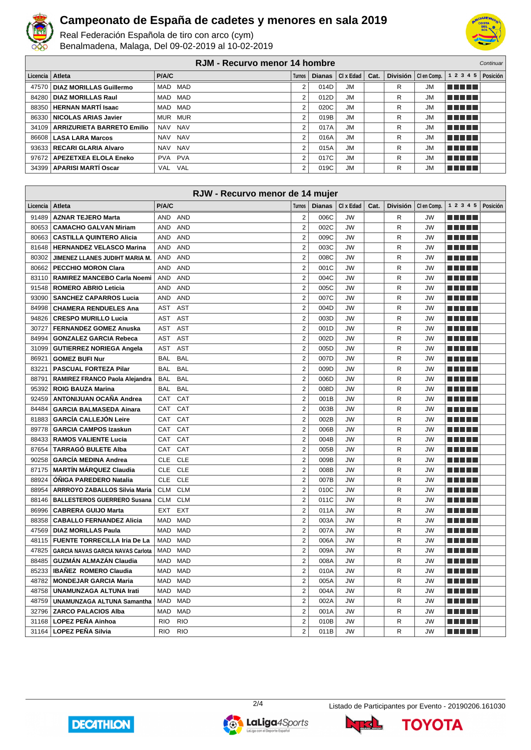

Real Federación Española de tiro con arco (cym) Benalmadena, Malaga, Del 09-02-2019 al 10-02-2019



**RJM - Recurvo menor 14 hombre** Continuary Continuary **Licencia Atleta P/A/C Turnos Dianas Cl x Edad Cat. División Cl en Comp. 1 2 3 4 5 Posición DIAZ MORILLAS Guillermo** MAD MAD 2 014D JM R JM **NEBEL DIAZ MORILLAS Raul** MAD MAD 2 012D JM R JM **NEBEL HERNAN MARTÍ Isaac** MAD MAD 2 020C JM R JM **THEFT NICOLAS ARIAS Javier** MUR MUR 2 019B JM R JM <u> E E E E E</u> **ARRIZURIETA BARRETO Emilio** NAV NAV 2 017A JM R JM <u> DE BE</u> **LASA LARA Marcos** NAV NAV 2 016A JM R JM <u>manan</u> **RECARI GLARIA Alvaro** NAV NAV 2 015A JM R JM **THE REAL APEZETXEA ELOLA Eneko** PVA PVA 2 2 017C JM R JM **THE LIB APARISI MARTÍ Oscar** VAL VAL 2 019C JM R JM **REBEE** 

|          | RJW - Recurvo menor de 14 mujer      |                          |                         |               |           |      |                 |             |                        |          |
|----------|--------------------------------------|--------------------------|-------------------------|---------------|-----------|------|-----------------|-------------|------------------------|----------|
| Licencia | <b>Atleta</b>                        | P/A/C                    | Turnos                  | <b>Dianas</b> | CI x Edad | Cat. | <b>División</b> | CI en Comp. | 1 2 3 4 5              | Posición |
| 91489    | <b>AZNAR TEJERO Marta</b>            | AND<br><b>AND</b>        | $\overline{2}$          | 006C          | <b>JW</b> |      | R               | JW          | ma matsa               |          |
| 80653    | <b>CAMACHO GALVAN Miriam</b>         | <b>AND</b><br><b>AND</b> | $\overline{2}$          | 002C          | <b>JW</b> |      | R               | <b>JW</b>   | ma matsa               |          |
|          | 80663   CASTILLA QUINTERO Alicia     | AND<br><b>AND</b>        | $\overline{2}$          | 009C          | <b>JW</b> |      | R               | <b>JW</b>   | ma mata                |          |
| 81648    | <b>HERNANDEZ VELASCO Marina</b>      | <b>AND</b><br>AND        | $\overline{2}$          | 003C          | <b>JW</b> |      | R               | <b>JW</b>   | ma mata                |          |
| 80302    | JIMENEZ LLANES JUDIHT MARIA M.       | <b>AND</b><br><b>AND</b> | $\overline{2}$          | 008C          | <b>JW</b> |      | R               | <b>JW</b>   | .                      |          |
| 80662    | <b>PECCHIO MORON Clara</b>           | <b>AND</b><br><b>AND</b> | $\overline{2}$          | 001C          | <b>JW</b> |      | R               | <b>JW</b>   | ma mata                |          |
| 83110    | RAMIREZ MANCEBO Carla Noemi          | AND<br><b>AND</b>        | $\overline{2}$          | 004C          | <b>JW</b> |      | R               | <b>JW</b>   |                        |          |
| 91548    | <b>ROMERO ABRIO Leticia</b>          | <b>AND</b><br><b>AND</b> | $\overline{2}$          | 005C          | <b>JW</b> |      | R               | <b>JW</b>   | a katika Kabupatén Ing |          |
| 93090    | <b>SANCHEZ CAPARROS Lucia</b>        | <b>AND</b><br><b>AND</b> | $\overline{2}$          | 007C          | <b>JW</b> |      | R               | <b>JW</b>   | ma mata                |          |
| 84998    | <b>CHAMERA RENDUELES Ana</b>         | <b>AST</b><br><b>AST</b> | $\overline{\mathbf{c}}$ | 004D          | <b>JW</b> |      | R               | <b>JW</b>   |                        |          |
| 94826    | CRESPO MURILLO Lucia                 | <b>AST</b><br><b>AST</b> | $\overline{2}$          | 003D          | <b>JW</b> |      | R               | <b>JW</b>   | m Alban                |          |
| 30727    | <b>FERNANDEZ GOMEZ Anuska</b>        | AST<br><b>AST</b>        | $\overline{2}$          | 001D          | <b>JW</b> |      | R               | <b>JW</b>   | ma mata                |          |
| 84994    | <b>GONZALEZ GARCIA Rebeca</b>        | <b>AST</b><br><b>AST</b> | $\overline{2}$          | 002D          | <b>JW</b> |      | R               | <b>JW</b>   |                        |          |
| 31099    | <b>GUTIERREZ NORIEGA Angela</b>      | <b>AST</b><br><b>AST</b> | $\overline{2}$          | 005D          | <b>JW</b> |      | R               | <b>JW</b>   | ma mata                |          |
| 86921    | <b>GOMEZ BUFI Nur</b>                | <b>BAL</b><br><b>BAL</b> | $\overline{2}$          | 007D          | <b>JW</b> |      | R               | <b>JW</b>   | ma matsa               |          |
| 83221    | <b>PASCUAL FORTEZA Pilar</b>         | <b>BAL</b><br><b>BAL</b> | $\overline{2}$          | 009D          | <b>JW</b> |      | R               | <b>JW</b>   | ma matsa               |          |
| 88791    | RAMIREZ FRANCO Paola Alejandra       | <b>BAL</b><br><b>BAL</b> | $\overline{2}$          | 006D          | <b>JW</b> |      | R               | <b>JW</b>   | ma mata                |          |
| 95392    | <b>ROIG BAUZA Marina</b>             | <b>BAL</b><br><b>BAL</b> | $\overline{2}$          | 008D          | <b>JW</b> |      | R               | <b>JW</b>   | ma matsa               |          |
| 92459    | ANTONIJUAN OCAÑA Andrea              | CAT<br><b>CAT</b>        | $\overline{2}$          | 001B          | <b>JW</b> |      | R               | <b>JW</b>   | .                      |          |
| 84484    | <b>GARCIA BALMASEDA Ainara</b>       | CAT<br>CAT               | $\overline{2}$          | 003B          | <b>JW</b> |      | R               | <b>JW</b>   | ma mata                |          |
| 81883    | <b>GARCÍA CALLEJÓN Leire</b>         | CAT<br><b>CAT</b>        | $\overline{2}$          | 002B          | <b>JW</b> |      | R               | <b>JW</b>   | ma matsa               |          |
| 89778    | <b>GARCIA CAMPOS Izaskun</b>         | <b>CAT</b><br><b>CAT</b> | $\overline{2}$          | 006B          | <b>JW</b> |      | R               | <b>JW</b>   |                        |          |
|          | 88433   RAMOS VALIENTE Lucia         | CAT<br>CAT               | $\overline{2}$          | 004B          | <b>JW</b> |      | R               | <b>JW</b>   | TI NI TITL             |          |
|          | 87654 TARRAGÓ BULETE Alba            | CAT<br>CAT               | $\overline{2}$          | 005B          | <b>JW</b> |      | R               | <b>JW</b>   | ma matsa               |          |
| 90258    | <b>GARCÍA MEDINA Andrea</b>          | <b>CLE</b><br><b>CLE</b> | $\overline{2}$          | 009B          | <b>JW</b> |      | R               | <b>JW</b>   |                        |          |
|          | 87175   MARTÍN MÁRQUEZ Claudia       | <b>CLE</b><br><b>CLE</b> | $\overline{2}$          | 008B          | <b>JW</b> |      | R               | <b>JW</b>   | TI TITLE               |          |
| 88924    | <b>ÓÑIGA PAREDERO Natalia</b>        | <b>CLE</b><br><b>CLE</b> | $\overline{2}$          | 007B          | <b>JW</b> |      | R               | <b>JW</b>   | ma matsa               |          |
| 88954    | <b>ARRROYO ZABALLOS Silvia Maria</b> | <b>CLM</b><br><b>CLM</b> | $\overline{2}$          | 010C          | <b>JW</b> |      | R               | <b>JW</b>   |                        |          |
|          | 88146   BALLESTEROS GUERRERO Susana  | <b>CLM</b><br><b>CLM</b> | $\overline{2}$          | 011C          | <b>JW</b> |      | R               | <b>JW</b>   | TI TITLE               |          |
| 86996    | <b>CABRERA GUIJO Marta</b>           | <b>EXT</b><br><b>EXT</b> | $\overline{2}$          | 011A          | <b>JW</b> |      | R               | <b>JW</b>   |                        |          |
| 88358    | <b>CABALLO FERNANDEZ Alicia</b>      | <b>MAD</b><br><b>MAD</b> | $\overline{2}$          | 003A          | <b>JW</b> |      | R               | <b>JW</b>   |                        |          |
| 47569    | <b>DIAZ MORILLAS Paula</b>           | <b>MAD</b><br><b>MAD</b> | $\overline{2}$          | 007A          | <b>JW</b> |      | R               | <b>JW</b>   | TI TITLE               |          |
| 48115    | FUENTE TORRECILLA Iria De La         | <b>MAD</b><br><b>MAD</b> | $\overline{2}$          | 006A          | <b>JW</b> |      | R               | <b>JW</b>   | MA MD L                |          |
| 47825    | GARCIA NAVAS GARCIA NAVAS Carlota    | <b>MAD</b><br><b>MAD</b> | $\overline{2}$          | 009A          | <b>JW</b> |      | R               | <b>JW</b>   | min min                |          |
|          | 88485 GUZMÁN ALMAZÁN Claudia         | MAD<br><b>MAD</b>        | $\overline{2}$          | 008A          | <b>JW</b> |      | R               | <b>JW</b>   | TI NI TITL             |          |
| 85233    | <b>IBAÑEZ ROMERO Claudia</b>         | MAD<br><b>MAD</b>        | $\overline{2}$          | 010A          | <b>JW</b> |      | R               | <b>JW</b>   | ma mata                |          |
| 48782    | <b>MONDEJAR GARCIA Maria</b>         | <b>MAD</b><br><b>MAD</b> | $\overline{2}$          | 005A          | <b>JW</b> |      | R               | <b>JW</b>   |                        |          |
|          | 48758   UNAMUNZAGA ALTUNA Irati      | <b>MAD</b><br><b>MAD</b> | $\overline{2}$          | 004A          | <b>JW</b> |      | R               | <b>JW</b>   | TI TITLE               |          |
| 48759    | UNAMUNZAGA ALTUNA Samantha           | MAD<br><b>MAD</b>        | $\overline{2}$          | 002A          | <b>JW</b> |      | R               | <b>JW</b>   | ma mata                |          |
| 32796    | <b>ZARCO PALACIOS Alba</b>           | <b>MAD</b><br>MAD        | $\overline{2}$          | 001A          | <b>JW</b> |      | R               | <b>JW</b>   |                        |          |
| 31168    | <b>LOPEZ PEÑA Ainhoa</b>             | <b>RIO</b><br><b>RIO</b> | $\overline{2}$          | 010B          | <b>JW</b> |      | R               | <b>JW</b>   | TI TITLE               |          |
|          | 31164   LOPEZ PEÑA Silvia            | <b>RIO</b><br><b>RIO</b> | $\overline{2}$          | 011B          | <b>JW</b> |      | R               | <b>JW</b>   | ma matsa               |          |







**TOYOTA**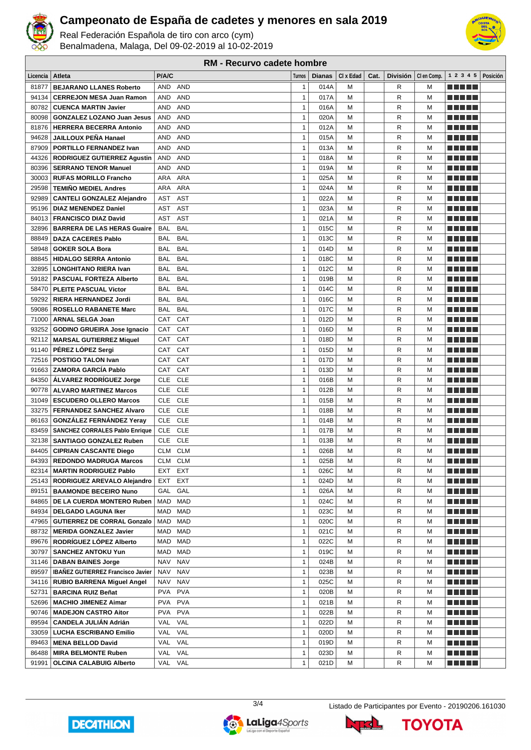

Real Federación Española de tiro con arco (cym) Benalmadena, Malaga, Del 09-02-2019 al 10-02-2019



**RM - Recurvo cadete hombre**

| Licencia | ∣ Atleta                                 | <b>P/A/C</b> |            | <b>Turnos</b> | <b>Dianas</b> | CI x Edad | Cat. | <b>División</b> | CI en Comp. | 1 2 3 4 5                                                                                                      | Posición |
|----------|------------------------------------------|--------------|------------|---------------|---------------|-----------|------|-----------------|-------------|----------------------------------------------------------------------------------------------------------------|----------|
| 81877    | <b>BEJARANO LLANES Roberto</b>           | AND          | <b>AND</b> | $\mathbf{1}$  | 014A          | M         |      | R               | м           | <u> Liberal Maria II</u>                                                                                       |          |
| 94134    | <b>CERREJON MESA Juan Ramon</b>          | AND          | <b>AND</b> | $\mathbf{1}$  | 017A          | M         |      | R               | M           |                                                                                                                |          |
| 80782    | <b>CUENCA MARTIN Javier</b>              | AND          | <b>AND</b> | $\mathbf{1}$  | 016A          | M         |      | R               | M           |                                                                                                                |          |
| 80098    | <b>GONZALEZ LOZANO Juan Jesus</b>        | AND          | <b>AND</b> | $\mathbf{1}$  | 020A          | M         |      | R               | M           | TI NI NI N                                                                                                     |          |
| 81876    | <b>HERRERA BECERRA Antonio</b>           | <b>AND</b>   | <b>AND</b> | $\mathbf{1}$  | 012A          | M         |      | R               | м           | M M M M M                                                                                                      |          |
| 94628    | <b>JAILLOUX PEÑA Hanael</b>              | AND          | <b>AND</b> | $\mathbf{1}$  | 015A          | M         |      | R               | м           | -----                                                                                                          |          |
| 87909    | <b>PORTILLO FERNANDEZ Ivan</b>           | <b>AND</b>   | <b>AND</b> | 1             | 013A          | M         |      | R               | м           | -----                                                                                                          |          |
| 44326    | <b>RODRIGUEZ GUTIERREZ Agustin</b>       | AND          | <b>AND</b> | $\mathbf{1}$  | 018A          | M         |      | R               | M           | MA MAT                                                                                                         |          |
| 80396    | <b>SERRANO TENOR Manuel</b>              | AND          | <b>AND</b> | $\mathbf{1}$  | 019A          | M         |      | R               | M           | an kalendar                                                                                                    |          |
| 30003    | <b>RUFAS MORILLO Francho</b>             | ARA          | <b>ARA</b> | $\mathbf{1}$  | 025A          | M         |      | R               | M           | <u>a kata ing Pa</u>                                                                                           |          |
| 29598    | <b>TEMIÑO MEDIEL Andres</b>              | ARA          | <b>ARA</b> | $\mathbf{1}$  | 024A          | M         |      | R               | M           |                                                                                                                |          |
| 92989    | <b>CANTELI GONZALEZ Alejandro</b>        | AST          | <b>AST</b> | $\mathbf{1}$  | 022A          | M         |      | R               | M           | an bin bin b                                                                                                   |          |
| 95196    | <b>DIAZ MENENDEZ Daniel</b>              | <b>AST</b>   | <b>AST</b> | $\mathbf{1}$  | 023A          | M         |      | R               | M           | TI NI TITL                                                                                                     |          |
| 84013    | <b>FRANCISCO DIAZ David</b>              | <b>AST</b>   | <b>AST</b> | $\mathbf{1}$  | 021A          | M         |      | R               | м           | <u> El Bertin</u>                                                                                              |          |
| 32896    | <b>BARRERA DE LAS HERAS Guaire</b>       | <b>BAL</b>   | <b>BAL</b> | $\mathbf{1}$  | 015C          | M         |      | R               | M           | <u> El Bertin</u>                                                                                              |          |
| 88849    | <b>DAZA CACERES Pablo</b>                | <b>BAL</b>   | <b>BAL</b> | $\mathbf{1}$  | 013C          | M         |      | R               | М           | -----                                                                                                          |          |
| 58948    | <b>GOKER SOLA Bora</b>                   | <b>BAL</b>   | <b>BAL</b> | $\mathbf{1}$  | 014D          | M         |      | R               | M           | T FI FI FI                                                                                                     |          |
| 88845    | <b>HIDALGO SERRA Antonio</b>             | <b>BAL</b>   | <b>BAL</b> | $\mathbf{1}$  | 018C          | M         |      | R               | M           | -----                                                                                                          |          |
| 32895    | <b>LONGHITANO RIERA Ivan</b>             | <b>BAL</b>   | <b>BAL</b> | $\mathbf{1}$  | 012C          | M         |      | R               | M           | -----                                                                                                          |          |
| 59182    | <b>PASCUAL FORTEZA Alberto</b>           | BAL          | <b>BAL</b> | $\mathbf{1}$  | 019B          | M         |      | R               | M           |                                                                                                                |          |
| 58470    | <b>PLEITE PASCUAL Victor</b>             | BAL          | <b>BAL</b> | $\mathbf{1}$  | 014C          | M         |      | R               | м           | -----                                                                                                          |          |
| 59292    | <b>RIERA HERNANDEZ Jordi</b>             | BAL          | <b>BAL</b> | $\mathbf{1}$  | 016C          | M         |      | R               | M           | T FITTER                                                                                                       |          |
| 59086    | <b>ROSELLO RABANETE Marc</b>             | BAL          | <b>BAL</b> | $\mathbf{1}$  | 017C          | M         |      | R               | м           | n di Titolo                                                                                                    |          |
| 71000    | <b>ARNAL SELGA Joan</b>                  | CAT          | CAT        | $\mathbf{1}$  | 012D          | M         |      | R               | M           | TI FILM                                                                                                        |          |
| 93252    | <b>GODINO GRUEIRA Jose Ignacio</b>       | CAT          | CAT        | $\mathbf{1}$  | 016D          | M         |      | R               | М           | an kalendar                                                                                                    |          |
| 92112    | <b>MARSAL GUTIERREZ Miquel</b>           | CAT          | CAT        | $\mathbf{1}$  | 018D          | M         |      | R               | M           | TI FILM                                                                                                        |          |
| 91140    | PÉREZ LÓPEZ Sergi                        | CAT          | CAT        | $\mathbf{1}$  | 015D          | M         |      | R               | M           | TITI DE                                                                                                        |          |
| 72516    | <b>POSTIGO TALON Ivan</b>                | CAT          | CAT        | $\mathbf{1}$  | 017D          | M         |      | R               | м           |                                                                                                                |          |
| 91663    | <b>ZAMORA GARCÍA Pablo</b>               | CAT          | CAT        | $\mathbf{1}$  | 013D          | M         |      | R               | M           | a ka<br>a katika T                                                                                             |          |
| 84350    | <b>ALVAREZ RODRIGUEZ Jorge</b>           | <b>CLE</b>   | <b>CLE</b> | $\mathbf{1}$  | 016B          | M         |      | R               | M           | an bin birni                                                                                                   |          |
| 90778    | <b>ALVARO MARTINEZ Marcos</b>            | <b>CLE</b>   | <b>CLE</b> | $\mathbf{1}$  | 012B          | M         |      | R               | M           | ma matsa                                                                                                       |          |
| 31049    | <b>ESCUDERO OLLERO Marcos</b>            | <b>CLE</b>   | <b>CLE</b> | $\mathbf{1}$  | 015B          | M         |      | R               | M           | n di Titolo                                                                                                    |          |
| 33275    | <b>FERNANDEZ SANCHEZ Alvaro</b>          | <b>CLE</b>   | <b>CLE</b> | $\mathbf{1}$  | 018B          | M         |      | R               | M           | T FI FI FI                                                                                                     |          |
| 86163    | <b>GONZÁLEZ FERNÁNDEZ Yeray</b>          | <b>CLE</b>   | <b>CLE</b> | $\mathbf{1}$  | 014B          | M         |      | R               | M           |                                                                                                                |          |
| 83459    | <b>SANCHEZ CORRALES Pablo Enrique</b>    | <b>CLE</b>   | <b>CLE</b> | $\mathbf{1}$  | 017B          | M         |      | R               | м           | -----                                                                                                          |          |
| 32138    | <b>SANTIAGO GONZALEZ Ruben</b>           | <b>CLE</b>   | <b>CLE</b> | $\mathbf{1}$  | 013B          | M         |      | R               | M           | TI TI DI U                                                                                                     |          |
| 84405    | <b>CIPRIAN CASCANTE Diego</b>            | CLM          | <b>CLM</b> | $\mathbf{1}$  | 026B          | M         |      | R               | м           | TI TI DI U                                                                                                     |          |
| 84393    | <b>REDONDO MADRUGA Marcos</b>            | CLM CLM      |            | $\mathbf{1}$  | 025B          | M         |      | R               | M           | <u>a kata ing Pa</u>                                                                                           |          |
| 82314    | <b>MARTIN RODRIGUEZ Pablo</b>            | EXT EXT      |            | $\mathbf{1}$  | 026C          | м         |      | R               | м           |                                                                                                                |          |
| 25143    | RODRIGUEZ AREVALO Alejandro              | EXT          | <b>EXT</b> | $\mathbf{1}$  | 024D          | M         |      | R               | М           | MA MAR                                                                                                         |          |
| 89151    | <b>BAAMONDE BECEIRO Nuno</b>             | GAL          | GAL        | $\mathbf{1}$  | 026A          | М         |      | R               | м           | <u> Listo de la</u>                                                                                            |          |
|          | 84865   DE LA CUERDA MONTERO Ruben       | MAD MAD      |            | $\mathbf{1}$  | 024C          | М         |      | R               | М           | ME HELL                                                                                                        |          |
| 84934    | <b>DELGADO LAGUNA Iker</b>               | MAD MAD      |            | $\mathbf{1}$  | 023C          | М         |      | R               | м           | <u> Aleksandrija pa</u>                                                                                        |          |
| 47965    | <b>GUTIERREZ DE CORRAL Gonzalo</b>       | MAD MAD      |            | $\mathbf{1}$  | 020C          | м         |      | R               | м           | M M M M M                                                                                                      |          |
|          | 88732   MERIDA GONZALEZ Javier           | MAD MAD      |            | $\mathbf{1}$  | 021C          | M         |      | R               | м           | <u> Here i Her</u>                                                                                             |          |
|          | 89676   RODRÍGUEZ LÓPEZ Alberto          | MAD MAD      |            | $\mathbf{1}$  | 022C          | м         |      | R               | М           | <u> Here i s</u>                                                                                               |          |
| 30797    | <b>SANCHEZ ANTOKU Yun</b>                | MAD MAD      |            | $\mathbf{1}$  | 019C          | М         |      | R               | M           | TI TITLE                                                                                                       |          |
| 31146    | <b>DABAN BAINES Jorge</b>                | NAV NAV      |            | $\mathbf{1}$  | 024B          | М         |      | R               | М           | <u> Aleksandrija pa</u>                                                                                        |          |
| 89597    | <b>IBANEZ GUTIERREZ Francisco Javier</b> | NAV NAV      |            | $\mathbf{1}$  | 023B          | М         |      | R               | M           | <u> Literatur</u>                                                                                              |          |
|          | 34116   RUBIO BARRENA Miguel Angel       | NAV          | <b>NAV</b> | $\mathbf{1}$  | 025C          | М         |      | R               | м           | <u> Listo de la</u>                                                                                            |          |
| 52731    | <b>BARCINA RUIZ Beñat</b>                | PVA          | <b>PVA</b> | $\mathbf{1}$  | 020B          | М         |      | R               | М           | ME NE NE                                                                                                       |          |
| 52696    | MACHIO JIMENEZ Aimar                     | PVA PVA      |            | $\mathbf{1}$  | 021B          | м         |      | R               | м           |                                                                                                                |          |
| 90746    | <b>MADEJON CASTRO Aitor</b>              | PVA PVA      |            | $\mathbf{1}$  | 022B          | м         |      | R               | м           | <u> Aleksandrija pa</u>                                                                                        |          |
| 89594    | <b>CANDELA JULIAN Adrián</b>             | VAL VAL      |            | $\mathbf{1}$  | 022D          | М         |      | R               | M           | <u> Aleksandrija pa</u>                                                                                        |          |
| 33059    | <b>LUCHA ESCRIBANO Emilio</b>            | VAL VAL      |            | $\mathbf{1}$  | 020D          | М         |      | R               | м           | a je po se po                                                                                                  |          |
| 89463    | MENA BELLOD David                        | VAL VAL      |            | $\mathbf{1}$  | 019D          | M         |      | R               | M           | a di sebagai pada salah sahiji dan sahiji dan sahiji dan adalah sahiji dan adalah sahiji dari sahiji dari sahi |          |
| 86488    | <b>MIRA BELMONTE Ruben</b>               | VAL VAL      |            | $\mathbf{1}$  | 023D          | М         |      | R               | М           |                                                                                                                |          |
| 91991    | <b>OLCINA CALABUIG Alberto</b>           | VAL VAL      |            | $\mathbf{1}$  | 021D          | М         |      | R               | М           | <u> El El El E</u>                                                                                             |          |
|          |                                          |              |            |               |               |           |      |                 |             |                                                                                                                |          |









**TOYOTA**